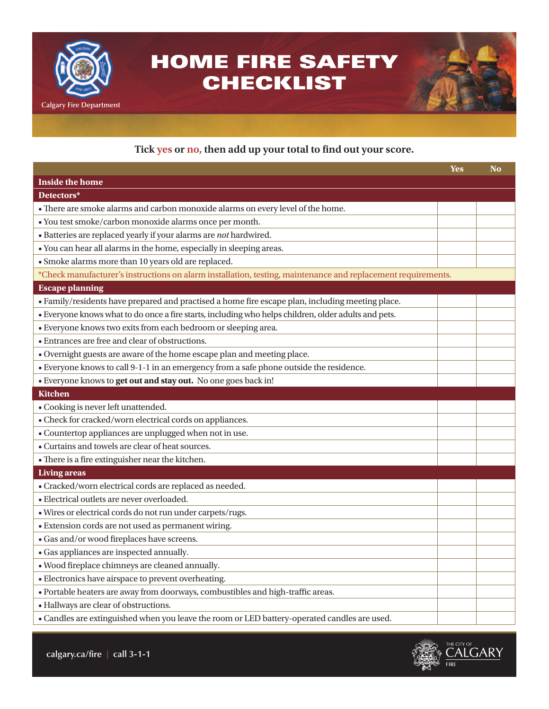

## **Tick yes or no, then add up your total to find out your score.**

|                                                                                                              | <b>Yes</b> | <b>No</b> |
|--------------------------------------------------------------------------------------------------------------|------------|-----------|
| <b>Inside the home</b>                                                                                       |            |           |
| Detectors*                                                                                                   |            |           |
| • There are smoke alarms and carbon monoxide alarms on every level of the home.                              |            |           |
| · You test smoke/carbon monoxide alarms once per month.                                                      |            |           |
| $\bullet$ Batteries are replaced yearly if your alarms are not hardwired.                                    |            |           |
| • You can hear all alarms in the home, especially in sleeping areas.                                         |            |           |
| · Smoke alarms more than 10 years old are replaced.                                                          |            |           |
| *Check manufacturer's instructions on alarm installation, testing, maintenance and replacement requirements. |            |           |
| <b>Escape planning</b>                                                                                       |            |           |
| · Family/residents have prepared and practised a home fire escape plan, including meeting place.             |            |           |
| · Everyone knows what to do once a fire starts, including who helps children, older adults and pets.         |            |           |
| · Everyone knows two exits from each bedroom or sleeping area.                                               |            |           |
| • Entrances are free and clear of obstructions.                                                              |            |           |
| • Overnight guests are aware of the home escape plan and meeting place.                                      |            |           |
| • Everyone knows to call 9-1-1 in an emergency from a safe phone outside the residence.                      |            |           |
| · Everyone knows to get out and stay out. No one goes back in!                                               |            |           |
| <b>Kitchen</b>                                                                                               |            |           |
| • Cooking is never left unattended.                                                                          |            |           |
| • Check for cracked/worn electrical cords on appliances.                                                     |            |           |
| • Countertop appliances are unplugged when not in use.                                                       |            |           |
| • Curtains and towels are clear of heat sources.                                                             |            |           |
| • There is a fire extinguisher near the kitchen.                                                             |            |           |
| <b>Living areas</b>                                                                                          |            |           |
| · Cracked/worn electrical cords are replaced as needed.                                                      |            |           |
| · Electrical outlets are never overloaded.                                                                   |            |           |
| · Wires or electrical cords do not run under carpets/rugs.                                                   |            |           |
| • Extension cords are not used as permanent wiring.                                                          |            |           |
| · Gas and/or wood fireplaces have screens.                                                                   |            |           |
| · Gas appliances are inspected annually.                                                                     |            |           |
| · Wood fireplace chimneys are cleaned annually.                                                              |            |           |
| · Electronics have airspace to prevent overheating.                                                          |            |           |
| · Portable heaters are away from doorways, combustibles and high-traffic areas.                              |            |           |
| · Hallways are clear of obstructions.                                                                        |            |           |
| • Candles are extinguished when you leave the room or LED battery-operated candles are used.                 |            |           |